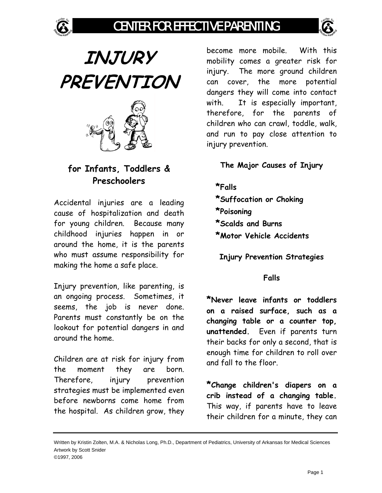# CENTER FOR EFFECTIVE PARENTING



**INJURY PREVENTION** 



## **for Infants, Toddlers & Preschoolers**

Accidental injuries are a leading cause of hospitalization and death for young children. Because many childhood injuries happen in or around the home, it is the parents who must assume responsibility for making the home a safe place.

Injury prevention, like parenting, is an ongoing process. Sometimes, it seems, the job is never done. Parents must constantly be on the lookout for potential dangers in and around the home.

Children are at risk for injury from the moment they are born. Therefore, injury prevention strategies must be implemented even before newborns come home from the hospital. As children grow, they become more mobile. With this mobility comes a greater risk for injury. The more ground children can cover, the more potential dangers they will come into contact with. It is especially important, therefore, for the parents of children who can crawl, toddle, walk, and run to pay close attention to injury prevention.

**The Major Causes of Injury**

**\*Falls** 

**\*Suffocation or Choking \*Poisoning \*Scalds and Burns \*Motor Vehicle Accidents**

**Injury Prevention Strategies**

### **Falls**

**\*Never leave infants or toddlers on a raised surface, such as a changing table or a counter top, unattended.** Even if parents turn their backs for only a second, that is enough time for children to roll over and fall to the floor.

**\*Change children's diapers on a crib instead of a changing table.** This way, if parents have to leave their children for a minute, they can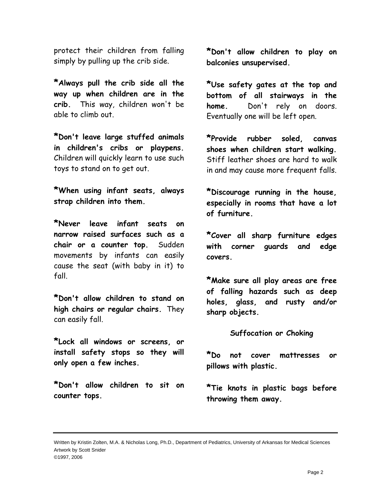protect their children from falling simply by pulling up the crib side.

**\*Always pull the crib side all the way up when children are in the crib.** This way, children won't be able to climb out.

**\*Don't leave large stuffed animals in children's cribs or playpens.** Children will quickly learn to use such toys to stand on to get out.

**\*When using infant seats, always strap children into them.** 

**\*Never leave infant seats on narrow raised surfaces such as a chair or a counter top.** Sudden movements by infants can easily cause the seat (with baby in it) to fall.

**\*Don't allow children to stand on high chairs or regular chairs.** They can easily fall.

**\*Lock all windows or screens, or install safety stops so they will only open a few inches.** 

**\*Don't allow children to sit on counter tops.** 

**\*Don't allow children to play on balconies unsupervised.** 

**\*Use safety gates at the top and bottom of all stairways in the home.** Don't rely on doors. Eventually one will be left open.

**\*Provide rubber soled, canvas shoes when children start walking.** Stiff leather shoes are hard to walk in and may cause more frequent falls.

**\*Discourage running in the house, especially in rooms that have a lot of furniture.** 

**\*Cover all sharp furniture edges with corner guards and edge covers.** 

**\*Make sure all play areas are free of falling hazards such as deep holes, glass, and rusty and/or sharp objects.** 

**Suffocation or Choking** 

**\*Do not cover mattresses or pillows with plastic.** 

**\*Tie knots in plastic bags before throwing them away.**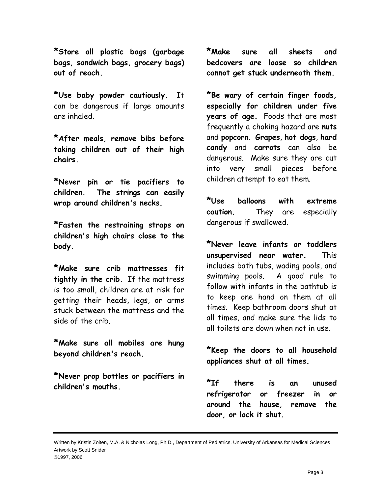**\*Store all plastic bags (garbage bags, sandwich bags, grocery bags) out of reach.**

**\*Use baby powder cautiously.** It can be dangerous if large amounts are inhaled.

**\*After meals, remove bibs before taking children out of their high chairs.** 

**\*Never pin or tie pacifiers to children. The strings can easily wrap around children's necks.** 

**\*Fasten the restraining straps on children's high chairs close to the body.**

**\*Make sure crib mattresses fit tightly in the crib.** If the mattress is too small, children are at risk for getting their heads, legs, or arms stuck between the mattress and the side of the crib.

**\*Make sure all mobiles are hung beyond children's reach.** 

**\*Never prop bottles or pacifiers in children's mouths.** 

**\*Make sure all sheets and bedcovers are loose so children cannot get stuck underneath them.** 

**\*Be wary of certain finger foods, especially for children under five years of age.** Foods that are most frequently a choking hazard are **nuts** and **popcorn**. **Grapes**, **hot dogs**, **hard candy** and **carrots** can also be dangerous. Make sure they are cut into very small pieces before children attempt to eat them.

**\*Use balloons with extreme caution.** They are especially dangerous if swallowed.

**\*Never leave infants or toddlers unsupervised near water.** This includes bath tubs, wading pools, and swimming pools. A good rule to follow with infants in the bathtub is to keep one hand on them at all times. Keep bathroom doors shut at all times, and make sure the lids to all toilets are down when not in use.

**\*Keep the doors to all household appliances shut at all times.** 

**\*If there is an unused refrigerator or freezer in or around the house, remove the door, or lock it shut.**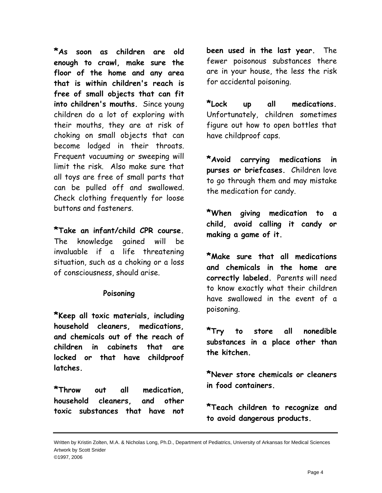**\*As soon as children are old enough to crawl, make sure the floor of the home and any area that is within children's reach is free of small objects that can fit into children's mouths.** Since young children do a lot of exploring with their mouths, they are at risk of choking on small objects that can become lodged in their throats. Frequent vacuuming or sweeping will limit the risk. Also make sure that all toys are free of small parts that can be pulled off and swallowed. Check clothing frequently for loose buttons and fasteners.

**\*Take an infant/child CPR course.** The knowledge gained will be invaluable if a life threatening situation, such as a choking or a loss of consciousness, should arise.

#### **Poisoning**

**\*Keep all toxic materials, including household cleaners, medications, and chemicals out of the reach of children in cabinets that are locked or that have childproof latches.** 

**\*Throw out all medication, household cleaners, and other toxic substances that have not**  **been used in the last year.** The fewer poisonous substances there are in your house, the less the risk for accidental poisoning.

**\*Lock up all medications.** Unfortunately, children sometimes figure out how to open bottles that have childproof caps.

**\*Avoid carrying medications in purses or briefcases.** Children love to go through them and may mistake the medication for candy.

**\*When giving medication to a child, avoid calling it candy or making a game of it.** 

**\*Make sure that all medications and chemicals in the home are correctly labeled.** Parents will need to know exactly what their children have swallowed in the event of a poisoning.

**\*Try to store all nonedible substances in a place other than the kitchen.** 

**\*Never store chemicals or cleaners in food containers.** 

**\*Teach children to recognize and to avoid dangerous products.**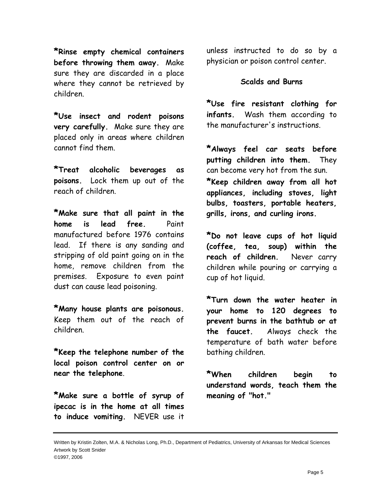**\*Rinse empty chemical containers before throwing them away.** Make sure they are discarded in a place where they cannot be retrieved by children.

**\*Use insect and rodent poisons very carefully.** Make sure they are placed only in areas where children cannot find them.

**\*Treat alcoholic beverages as poisons.** Lock them up out of the reach of children.

**\*Make sure that all paint in the home is lead free.** Paint manufactured before 1976 contains lead. If there is any sanding and stripping of old paint going on in the home, remove children from the premises. Exposure to even paint dust can cause lead poisoning.

**\*Many house plants are poisonous.**  Keep them out of the reach of children.

**\*Keep the telephone number of the local poison control center on or near the telephone**.

**\*Make sure a bottle of syrup of ipecac is in the home at all times to induce vomiting.** NEVER use it unless instructed to do so by a physician or poison control center.

#### **Scalds and Burns**

**\*Use fire resistant clothing for infants.** Wash them according to the manufacturer's instructions.

**\*Always feel car seats before putting children into them.** They can become very hot from the sun. **\*Keep children away from all hot appliances, including stoves, light bulbs, toasters, portable heaters, grills, irons, and curling irons.** 

**\*Do not leave cups of hot liquid (coffee, tea, soup) within the reach of children.** Never carry children while pouring or carrying a cup of hot liquid.

**\*Turn down the water heater in your home to 120 degrees to prevent burns in the bathtub or at the faucet.** Always check the temperature of bath water before bathing children.

**\*When children begin to understand words, teach them the meaning of "hot."**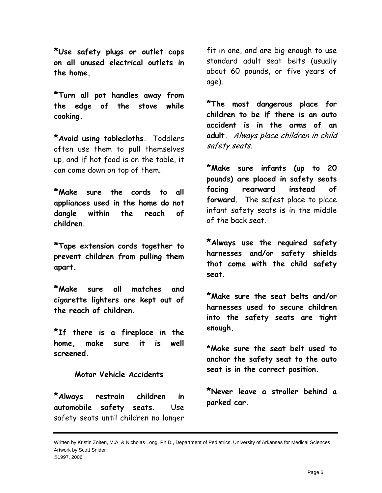**\*Use safety plugs or outlet caps on all unused electrical outlets in the home.** 

**\*Turn all pot handles away from the edge of the stove while cooking.**

**\*Avoid using tablecloths.** Toddlers often use them to pull themselves up, and if hot food is on the table, it can come down on top of them.

**\*Make sure the cords to all appliances used in the home do not dangle within the reach of children.** 

**\*Tape extension cords together to prevent children from pulling them apart.** 

**\*Make sure all matches and cigarette lighters are kept out of the reach of children.** 

**\*If there is a fireplace in the home, make sure it is well screened.**

#### **Motor Vehicle Accidents**

**\*Always restrain children in automobile safety seats.** Use safety seats until children no longer

fit in one, and are big enough to use standard adult seat belts (usually about 60 pounds, or five years of age).

**\*The most dangerous place for children to be if there is an auto accident is in the arms of an adult.** Always place children in child safety seats.

**\*Make sure infants (up to 20 pounds) are placed in safety seats facing rearward instead of forward.** The safest place to place infant safety seats is in the middle of the back seat.

**\*Always use the required safety harnesses and/or safety shields that come with the child safety seat.** 

**\*Make sure the seat belts and/or harnesses used to secure children into the safety seats are tight enough.**

**\*Make sure the seat belt used to anchor the safety seat to the auto seat is in the correct position.** 

**\*Never leave a stroller behind a parked car.**